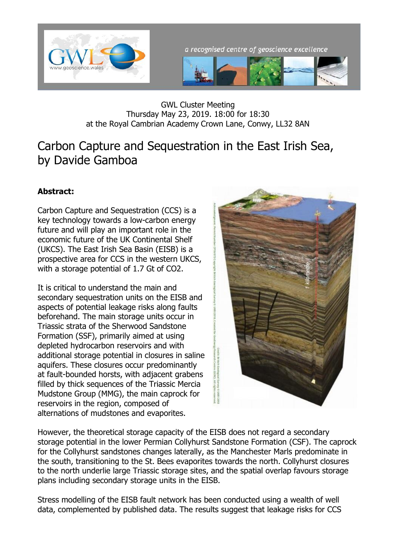

a recognised centre of geoscience excellence



GWL Cluster Meeting Thursday May 23, 2019. 18:00 for 18:30 at the Royal Cambrian Academy Crown Lane, Conwy, LL32 8AN

## Carbon Capture and Sequestration in the East Irish Sea, by Davide Gamboa

## **Abstract:**

Carbon Capture and Sequestration (CCS) is a key technology towards a low-carbon energy future and will play an important role in the economic future of the UK Continental Shelf (UKCS). The East Irish Sea Basin (EISB) is a prospective area for CCS in the western UKCS, with a storage potential of 1.7 Gt of CO2.

It is critical to understand the main and secondary sequestration units on the EISB and aspects of potential leakage risks along faults beforehand. The main storage units occur in Triassic strata of the Sherwood Sandstone Formation (SSF), primarily aimed at using depleted hydrocarbon reservoirs and with additional storage potential in closures in saline aquifers. These closures occur predominantly at fault-bounded horsts, with adjacent grabens filled by thick sequences of the Triassic Mercia Mudstone Group (MMG), the main caprock for reservoirs in the region, composed of alternations of mudstones and evaporites.



However, the theoretical storage capacity of the EISB does not regard a secondary storage potential in the lower Permian Collyhurst Sandstone Formation (CSF). The caprock for the Collyhurst sandstones changes laterally, as the Manchester Marls predominate in the south, transitioning to the St. Bees evaporites towards the north. Collyhurst closures to the north underlie large Triassic storage sites, and the spatial overlap favours storage plans including secondary storage units in the EISB.

Stress modelling of the EISB fault network has been conducted using a wealth of well data, complemented by published data. The results suggest that leakage risks for CCS